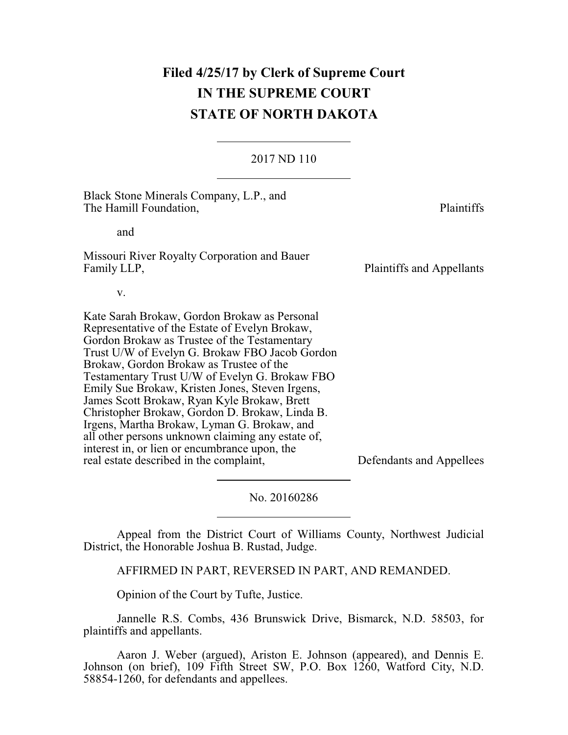# **Filed 4/25/17 by Clerk of Supreme Court IN THE SUPREME COURT STATE OF NORTH DAKOTA**

## 2017 ND 110

Black Stone Minerals Company, L.P., and The Hamill Foundation, The Hamill Foundation, and Missouri River Royalty Corporation and Bauer Family LLP, Plaintiffs and Appellants v. Kate Sarah Brokaw, Gordon Brokaw as Personal Representative of the Estate of Evelyn Brokaw, Gordon Brokaw as Trustee of the Testamentary Trust U/W of Evelyn G. Brokaw FBO Jacob Gordon Brokaw, Gordon Brokaw as Trustee of the Testamentary Trust U/W of Evelyn G. Brokaw FBO Emily Sue Brokaw, Kristen Jones, Steven Irgens, James Scott Brokaw, Ryan Kyle Brokaw, Brett Christopher Brokaw, Gordon D. Brokaw, Linda B. Irgens, Martha Brokaw, Lyman G. Brokaw, and all other persons unknown claiming any estate of, interest in, or lien or encumbrance upon, the

real estate described in the complaint, Defendants and Appellees

No. 20160286

Appeal from the District Court of Williams County, Northwest Judicial District, the Honorable Joshua B. Rustad, Judge.

AFFIRMED IN PART, REVERSED IN PART, AND REMANDED.

Opinion of the Court by Tufte, Justice.

Jannelle R.S. Combs, 436 Brunswick Drive, Bismarck, N.D. 58503, for plaintiffs and appellants.

Aaron J. Weber (argued), Ariston E. Johnson (appeared), and Dennis E. Johnson (on brief), 109 Fifth Street SW, P.O. Box 1260, Watford City, N.D. 58854-1260, for defendants and appellees.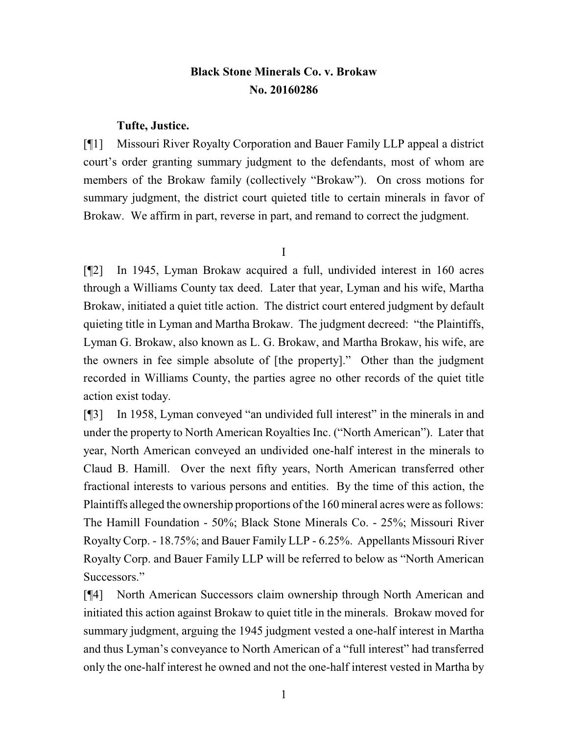# **Black Stone Minerals Co. v. Brokaw No. 20160286**

## **Tufte, Justice.**

[¶1] Missouri River Royalty Corporation and Bauer Family LLP appeal a district court's order granting summary judgment to the defendants, most of whom are members of the Brokaw family (collectively "Brokaw"). On cross motions for summary judgment, the district court quieted title to certain minerals in favor of Brokaw. We affirm in part, reverse in part, and remand to correct the judgment.

I

[¶2] In 1945, Lyman Brokaw acquired a full, undivided interest in 160 acres through a Williams County tax deed. Later that year, Lyman and his wife, Martha Brokaw, initiated a quiet title action. The district court entered judgment by default quieting title in Lyman and Martha Brokaw. The judgment decreed: "the Plaintiffs, Lyman G. Brokaw, also known as L. G. Brokaw, and Martha Brokaw, his wife, are the owners in fee simple absolute of [the property]." Other than the judgment recorded in Williams County, the parties agree no other records of the quiet title action exist today.

[¶3] In 1958, Lyman conveyed "an undivided full interest" in the minerals in and under the property to North American Royalties Inc. ("North American"). Later that year, North American conveyed an undivided one-half interest in the minerals to Claud B. Hamill. Over the next fifty years, North American transferred other fractional interests to various persons and entities. By the time of this action, the Plaintiffs alleged the ownership proportions of the 160 mineral acres were as follows: The Hamill Foundation - 50%; Black Stone Minerals Co. - 25%; Missouri River RoyaltyCorp. - 18.75%; and Bauer Family LLP - 6.25%. Appellants Missouri River Royalty Corp. and Bauer Family LLP will be referred to below as "North American Successors."

[¶4] North American Successors claim ownership through North American and initiated this action against Brokaw to quiet title in the minerals. Brokaw moved for summary judgment, arguing the 1945 judgment vested a one-half interest in Martha and thus Lyman's conveyance to North American of a "full interest" had transferred only the one-half interest he owned and not the one-half interest vested in Martha by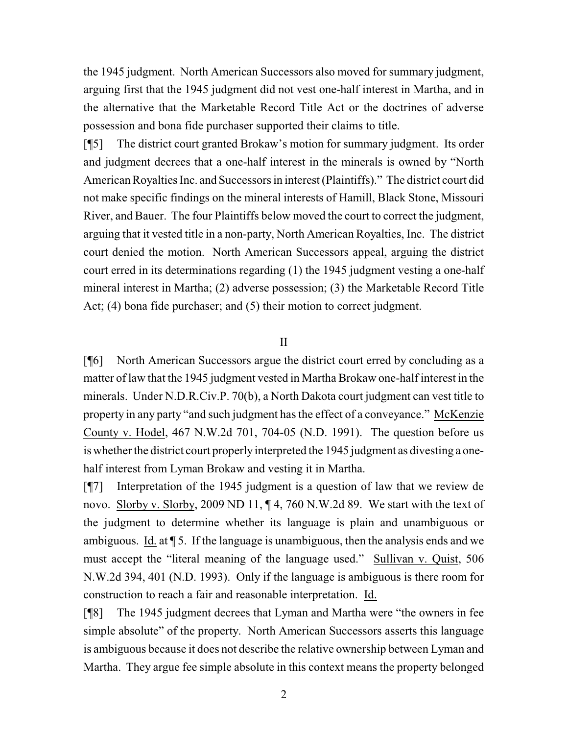the 1945 judgment. North American Successors also moved for summary judgment, arguing first that the 1945 judgment did not vest one-half interest in Martha, and in the alternative that the Marketable Record Title Act or the doctrines of adverse possession and bona fide purchaser supported their claims to title.

[¶5] The district court granted Brokaw's motion for summary judgment. Its order and judgment decrees that a one-half interest in the minerals is owned by "North American Royalties Inc. and Successors in interest (Plaintiffs)." The district court did not make specific findings on the mineral interests of Hamill, Black Stone, Missouri River, and Bauer. The four Plaintiffs below moved the court to correct the judgment, arguing that it vested title in a non-party, North American Royalties, Inc. The district court denied the motion. North American Successors appeal, arguing the district court erred in its determinations regarding (1) the 1945 judgment vesting a one-half mineral interest in Martha; (2) adverse possession; (3) the Marketable Record Title Act; (4) bona fide purchaser; and (5) their motion to correct judgment.

#### II

[¶6] North American Successors argue the district court erred by concluding as a matter of law that the 1945 judgment vested in Martha Brokaw one-half interest in the minerals. Under N.D.R.Civ.P. 70(b), a North Dakota court judgment can vest title to property in any party "and such judgment has the effect of a conveyance." McKenzie County v. Hodel, 467 N.W.2d 701, 704-05 (N.D. 1991). The question before us is whether the district court properly interpreted the 1945 judgment as divesting a onehalf interest from Lyman Brokaw and vesting it in Martha.

[¶7] Interpretation of the 1945 judgment is a question of law that we review de novo. Slorby v. Slorby, 2009 ND 11,  $\P$ 4, 760 N.W.2d 89. We start with the text of the judgment to determine whether its language is plain and unambiguous or ambiguous. Id. at ¶ 5. If the language is unambiguous, then the analysis ends and we must accept the "literal meaning of the language used." Sullivan v. Quist, 506 N.W.2d 394, 401 (N.D. 1993). Only if the language is ambiguous is there room for construction to reach a fair and reasonable interpretation. Id.

[¶8] The 1945 judgment decrees that Lyman and Martha were "the owners in fee simple absolute" of the property. North American Successors asserts this language is ambiguous because it does not describe the relative ownership between Lyman and Martha. They argue fee simple absolute in this context means the property belonged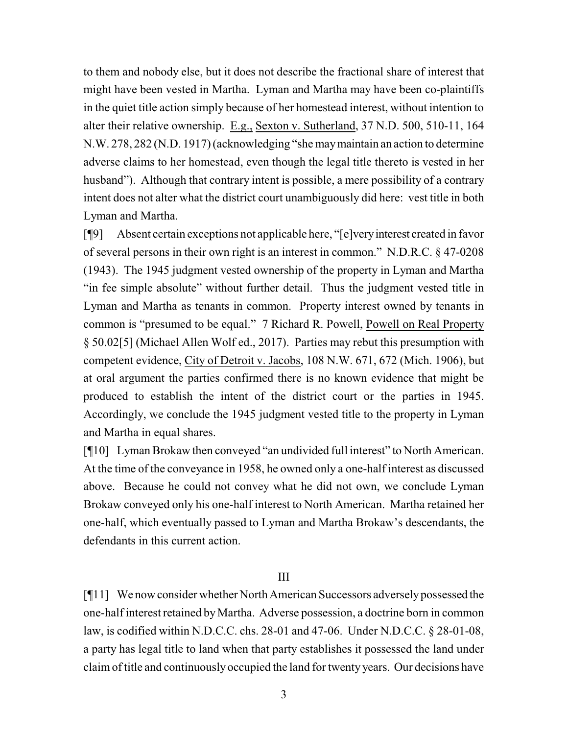to them and nobody else, but it does not describe the fractional share of interest that might have been vested in Martha. Lyman and Martha may have been co-plaintiffs in the quiet title action simply because of her homestead interest, without intention to alter their relative ownership. E.g., Sexton v. Sutherland, 37 N.D. 500, 510-11, 164 N.W. 278, 282 (N.D. 1917) (acknowledging "she maymaintain an action to determine adverse claims to her homestead, even though the legal title thereto is vested in her husband"). Although that contrary intent is possible, a mere possibility of a contrary intent does not alter what the district court unambiguously did here: vest title in both Lyman and Martha.

[¶9] Absent certain exceptions not applicable here, "[e]veryinterest created in favor of several persons in their own right is an interest in common." N.D.R.C. § 47-0208 (1943). The 1945 judgment vested ownership of the property in Lyman and Martha "in fee simple absolute" without further detail. Thus the judgment vested title in Lyman and Martha as tenants in common. Property interest owned by tenants in common is "presumed to be equal." 7 Richard R. Powell, Powell on Real Property § 50.02[5] (Michael Allen Wolf ed., 2017). Parties may rebut this presumption with competent evidence, City of Detroit v. Jacobs, 108 N.W. 671, 672 (Mich. 1906), but at oral argument the parties confirmed there is no known evidence that might be produced to establish the intent of the district court or the parties in 1945. Accordingly, we conclude the 1945 judgment vested title to the property in Lyman and Martha in equal shares.

[¶10] Lyman Brokaw then conveyed "an undivided full interest" to North American. At the time of the conveyance in 1958, he owned only a one-half interest as discussed above. Because he could not convey what he did not own, we conclude Lyman Brokaw conveyed only his one-half interest to North American. Martha retained her one-half, which eventually passed to Lyman and Martha Brokaw's descendants, the defendants in this current action.

III

[¶11] We nowconsider whether North American Successors adverselypossessed the one-half interest retained byMartha. Adverse possession, a doctrine born in common law, is codified within N.D.C.C. chs. 28-01 and 47-06. Under N.D.C.C. § 28-01-08, a party has legal title to land when that party establishes it possessed the land under claimof title and continuously occupied the land for twenty years. Our decisions have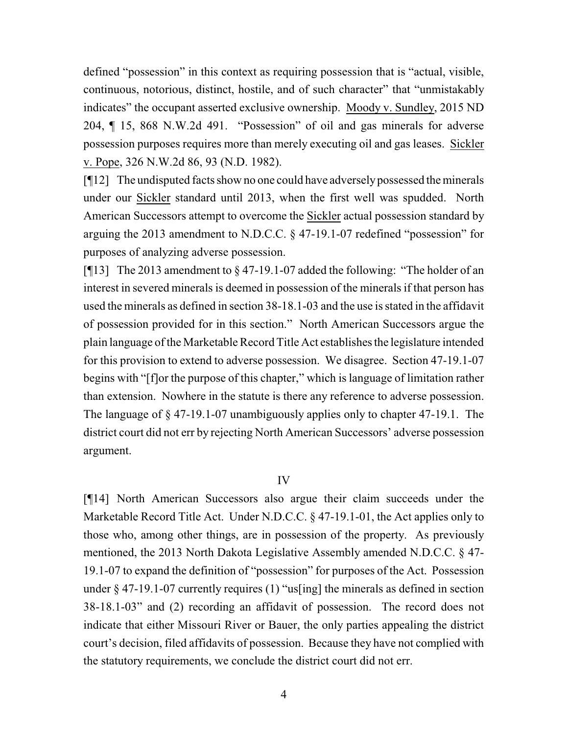defined "possession" in this context as requiring possession that is "actual, visible, continuous, notorious, distinct, hostile, and of such character" that "unmistakably indicates" the occupant asserted exclusive ownership. Moody v. Sundley, 2015 ND 204, ¶ 15, 868 N.W.2d 491. "Possession" of oil and gas minerals for adverse possession purposes requires more than merely executing oil and gas leases. Sickler v. Pope, 326 N.W.2d 86, 93 (N.D. 1982).

[¶12] The undisputed facts show no one could have adverselypossessed the minerals under our Sickler standard until 2013, when the first well was spudded. North American Successors attempt to overcome the Sickler actual possession standard by arguing the 2013 amendment to N.D.C.C. § 47-19.1-07 redefined "possession" for purposes of analyzing adverse possession.

[ $[13]$ ] The 2013 amendment to  $\S 47$ -19.1-07 added the following: "The holder of an interest in severed minerals is deemed in possession of the minerals if that person has used the minerals as defined in section 38-18.1-03 and the use is stated in the affidavit of possession provided for in this section." North American Successors argue the plain language of the Marketable Record Title Act establishes the legislature intended for this provision to extend to adverse possession. We disagree. Section 47-19.1-07 begins with "[f]or the purpose of this chapter," which is language of limitation rather than extension. Nowhere in the statute is there any reference to adverse possession. The language of § 47-19.1-07 unambiguously applies only to chapter 47-19.1. The district court did not err by rejecting North American Successors' adverse possession argument.

# IV

[¶14] North American Successors also argue their claim succeeds under the Marketable Record Title Act. Under N.D.C.C. § 47-19.1-01, the Act applies only to those who, among other things, are in possession of the property. As previously mentioned, the 2013 North Dakota Legislative Assembly amended N.D.C.C. § 47- 19.1-07 to expand the definition of "possession" for purposes of the Act. Possession under § 47-19.1-07 currently requires (1) "us[ing] the minerals as defined in section 38-18.1-03" and (2) recording an affidavit of possession. The record does not indicate that either Missouri River or Bauer, the only parties appealing the district court's decision, filed affidavits of possession. Because they have not complied with the statutory requirements, we conclude the district court did not err.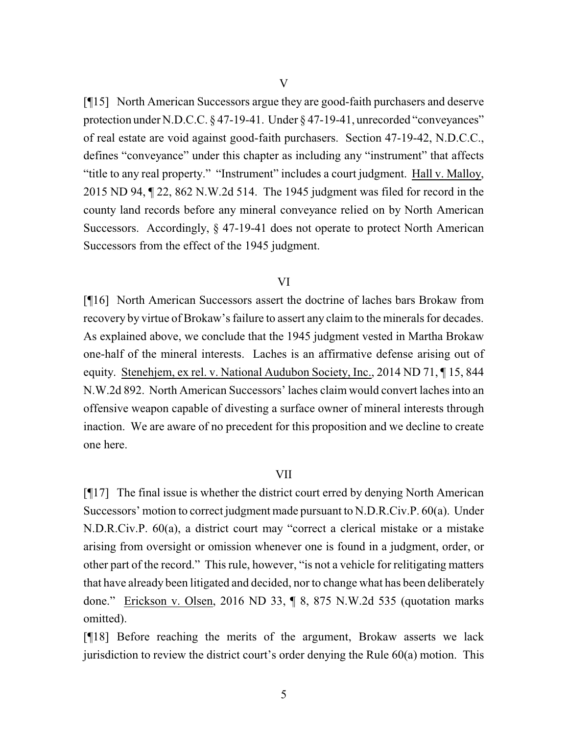[¶15] North American Successors argue they are good-faith purchasers and deserve protection under N.D.C.C. § 47-19-41. Under § 47-19-41, unrecorded "conveyances" of real estate are void against good-faith purchasers. Section 47-19-42, N.D.C.C., defines "conveyance" under this chapter as including any "instrument" that affects "title to any real property." "Instrument" includes a court judgment. Hall v. Malloy, 2015 ND 94, ¶ 22, 862 N.W.2d 514. The 1945 judgment was filed for record in the county land records before any mineral conveyance relied on by North American Successors. Accordingly, § 47-19-41 does not operate to protect North American Successors from the effect of the 1945 judgment.

#### VI

[¶16] North American Successors assert the doctrine of laches bars Brokaw from recovery by virtue of Brokaw's failure to assert any claim to the minerals for decades. As explained above, we conclude that the 1945 judgment vested in Martha Brokaw one-half of the mineral interests. Laches is an affirmative defense arising out of equity. Stenehjem, ex rel. v. National Audubon Society, Inc., 2014 ND 71, ¶ 15, 844 N.W.2d 892. North American Successors' laches claim would convert laches into an offensive weapon capable of divesting a surface owner of mineral interests through inaction. We are aware of no precedent for this proposition and we decline to create one here.

# VII

[¶17] The final issue is whether the district court erred by denying North American Successors' motion to correct judgment made pursuant to N.D.R.Civ.P. 60(a). Under N.D.R.Civ.P. 60(a), a district court may "correct a clerical mistake or a mistake arising from oversight or omission whenever one is found in a judgment, order, or other part of the record." This rule, however, "is not a vehicle for relitigating matters that have already been litigated and decided, nor to change what has been deliberately done." Erickson v. Olsen, 2016 ND 33, ¶ 8, 875 N.W.2d 535 (quotation marks omitted).

[¶18] Before reaching the merits of the argument, Brokaw asserts we lack jurisdiction to review the district court's order denying the Rule 60(a) motion. This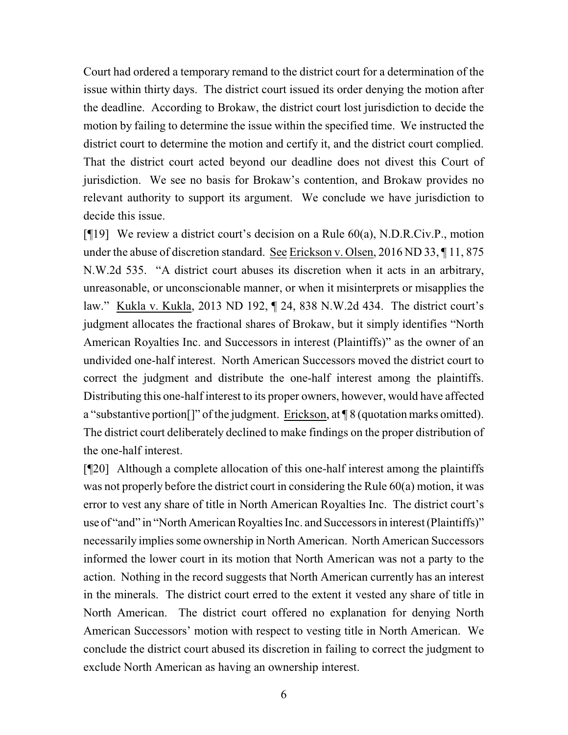Court had ordered a temporary remand to the district court for a determination of the issue within thirty days. The district court issued its order denying the motion after the deadline. According to Brokaw, the district court lost jurisdiction to decide the motion by failing to determine the issue within the specified time. We instructed the district court to determine the motion and certify it, and the district court complied. That the district court acted beyond our deadline does not divest this Court of jurisdiction. We see no basis for Brokaw's contention, and Brokaw provides no relevant authority to support its argument. We conclude we have jurisdiction to decide this issue.

[¶19] We review a district court's decision on a Rule 60(a), N.D.R.Civ.P., motion under the abuse of discretion standard. See Erickson v. Olsen, 2016 ND 33, ¶ 11, 875 N.W.2d 535. "A district court abuses its discretion when it acts in an arbitrary, unreasonable, or unconscionable manner, or when it misinterprets or misapplies the law." Kukla v. Kukla, 2013 ND 192, ¶ 24, 838 N.W.2d 434. The district court's judgment allocates the fractional shares of Brokaw, but it simply identifies "North American Royalties Inc. and Successors in interest (Plaintiffs)" as the owner of an undivided one-half interest. North American Successors moved the district court to correct the judgment and distribute the one-half interest among the plaintiffs. Distributing this one-half interest to its proper owners, however, would have affected a "substantive portion[]" of the judgment. Erickson, at ¶ 8 (quotation marks omitted). The district court deliberately declined to make findings on the proper distribution of the one-half interest.

[¶20] Although a complete allocation of this one-half interest among the plaintiffs was not properly before the district court in considering the Rule 60(a) motion, it was error to vest any share of title in North American Royalties Inc. The district court's use of "and" in "North American Royalties Inc. and Successors in interest (Plaintiffs)" necessarily implies some ownership in North American. North American Successors informed the lower court in its motion that North American was not a party to the action. Nothing in the record suggests that North American currently has an interest in the minerals. The district court erred to the extent it vested any share of title in North American. The district court offered no explanation for denying North American Successors' motion with respect to vesting title in North American. We conclude the district court abused its discretion in failing to correct the judgment to exclude North American as having an ownership interest.